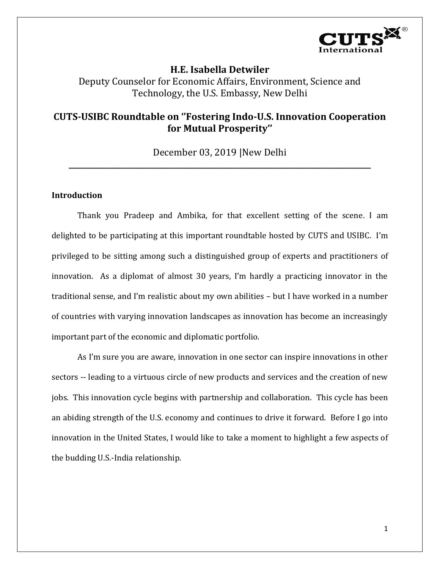

# **H.E. Isabella Detwiler** Deputy Counselor for Economic Affairs, Environment, Science and Technology, the U.S. Embassy, New Delhi

# **CUTS-USIBC Roundtable on ''Fostering Indo-U.S. Innovation Cooperation for Mutual Prosperity''**

December 03, 2019 |New Delhi **\_\_\_\_\_\_\_\_\_\_\_\_\_\_\_\_\_\_\_\_\_\_\_\_\_\_\_\_\_\_\_\_\_\_\_\_\_\_\_\_\_\_\_\_\_\_\_\_\_\_\_\_\_\_\_\_\_\_\_\_\_\_\_\_\_\_\_\_\_\_\_\_\_\_\_\_\_\_\_\_\_**

# **Introduction**

Thank you Pradeep and Ambika, for that excellent setting of the scene. I am delighted to be participating at this important roundtable hosted by CUTS and USIBC. I'm privileged to be sitting among such a distinguished group of experts and practitioners of innovation. As a diplomat of almost 30 years, I'm hardly a practicing innovator in the traditional sense, and I'm realistic about my own abilities – but I have worked in a number of countries with varying innovation landscapes as innovation has become an increasingly important part of the economic and diplomatic portfolio.

As I'm sure you are aware, innovation in one sector can inspire innovations in other sectors -- leading to a virtuous circle of new products and services and the creation of new jobs. This innovation cycle begins with partnership and collaboration. This cycle has been an abiding strength of the U.S. economy and continues to drive it forward. Before I go into innovation in the United States, I would like to take a moment to highlight a few aspects of the budding U.S.-India relationship.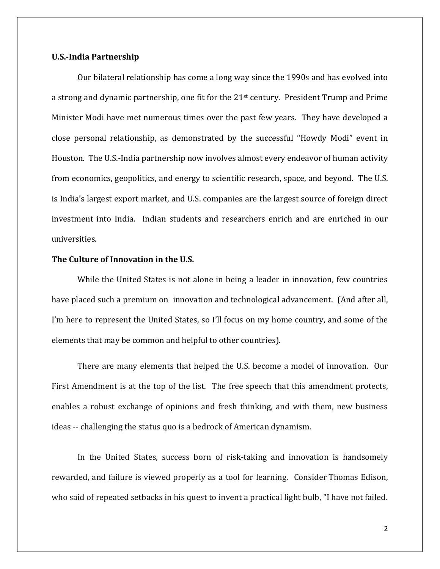#### **U.S.-India Partnership**

Our bilateral relationship has come a long way since the 1990s and has evolved into a strong and dynamic partnership, one fit for the 21st century. President Trump and Prime Minister Modi have met numerous times over the past few years. They have developed a close personal relationship, as demonstrated by the successful "Howdy Modi" event in Houston. The U.S.-India partnership now involves almost every endeavor of human activity from economics, geopolitics, and energy to scientific research, space, and beyond. The U.S. is India's largest export market, and U.S. companies are the largest source of foreign direct investment into India. Indian students and researchers enrich and are enriched in our universities.

# **The Culture of Innovation in the U.S.**

While the United States is not alone in being a leader in innovation, few countries have placed such a premium on innovation and technological advancement. (And after all, I'm here to represent the United States, so I'll focus on my home country, and some of the elements that may be common and helpful to other countries).

There are many elements that helped the U.S. become a model of innovation. Our First Amendment is at the top of the list. The free speech that this amendment protects, enables a robust exchange of opinions and fresh thinking, and with them, new business ideas -- challenging the status quo is a bedrock of American dynamism.

In the United States, success born of risk-taking and innovation is handsomely rewarded, and failure is viewed properly as a tool for learning. Consider Thomas Edison, who said of repeated setbacks in his quest to invent a practical light bulb, "I have not failed.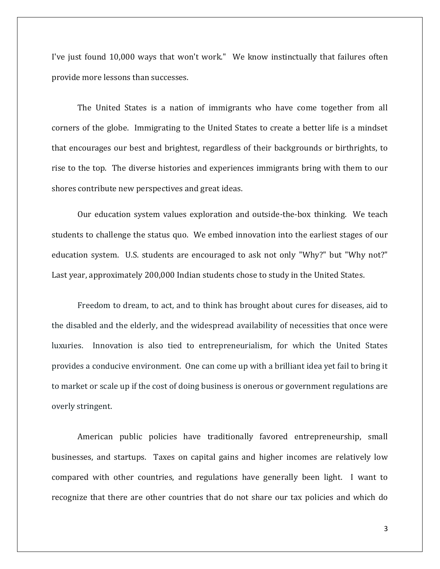I've just found 10,000 ways that won't work." We know instinctually that failures often provide more lessons than successes.

The United States is a nation of immigrants who have come together from all corners of the globe. Immigrating to the United States to create a better life is a mindset that encourages our best and brightest, regardless of their backgrounds or birthrights, to rise to the top. The diverse histories and experiences immigrants bring with them to our shores contribute new perspectives and great ideas.

Our education system values exploration and outside-the-box thinking. We teach students to challenge the status quo. We embed innovation into the earliest stages of our education system. U.S. students are encouraged to ask not only "Why?" but "Why not?" Last year, approximately 200,000 Indian students chose to study in the United States.

Freedom to dream, to act, and to think has brought about cures for diseases, aid to the disabled and the elderly, and the widespread availability of necessities that once were luxuries. Innovation is also tied to entrepreneurialism, for which the United States provides a conducive environment. One can come up with a brilliant idea yet fail to bring it to market or scale up if the cost of doing business is onerous or government regulations are overly stringent.

American public policies have traditionally favored entrepreneurship, small businesses, and startups. Taxes on capital gains and higher incomes are relatively low compared with other countries, and regulations have generally been light. I want to recognize that there are other countries that do not share our tax policies and which do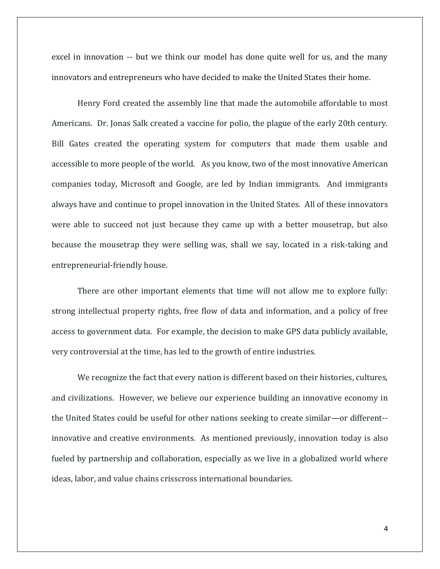excel in innovation -- but we think our model has done quite well for us, and the many innovators and entrepreneurs who have decided to make the United States their home.

Henry Ford created the assembly line that made the automobile affordable to most Americans. Dr. Jonas Salk created a vaccine for polio, the plague of the early 20th century. Bill Gates created the operating system for computers that made them usable and accessible to more people of the world. As you know, two of the most innovative American companies today, Microsoft and Google, are led by Indian immigrants. And immigrants always have and continue to propel innovation in the United States. All of these innovators were able to succeed not just because they came up with a better mousetrap, but also because the mousetrap they were selling was, shall we say, located in a risk-taking and entrepreneurial-friendly house.

There are other important elements that time will not allow me to explore fully: strong intellectual property rights, free flow of data and information, and a policy of free access to government data. For example, the decision to make GPS data publicly available, very controversial at the time, has led to the growth of entire industries.

We recognize the fact that every nation is different based on their histories, cultures, and civilizations. However, we believe our experience building an innovative economy in the United States could be useful for other nations seeking to create similar—or different- innovative and creative environments. As mentioned previously, innovation today is also fueled by partnership and collaboration, especially as we live in a globalized world where ideas, labor, and value chains crisscross international boundaries.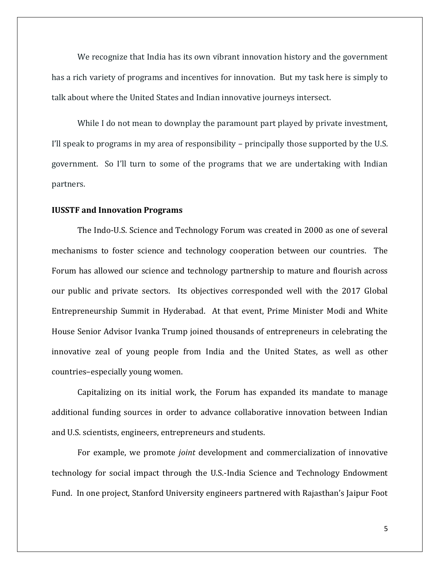We recognize that India has its own vibrant innovation history and the government has a rich variety of programs and incentives for innovation. But my task here is simply to talk about where the United States and Indian innovative journeys intersect.

While I do not mean to downplay the paramount part played by private investment, I'll speak to programs in my area of responsibility – principally those supported by the U.S. government. So I'll turn to some of the programs that we are undertaking with Indian partners.

#### **IUSSTF and Innovation Programs**

The Indo-U.S. Science and Technology Forum was created in 2000 as one of several mechanisms to foster science and technology cooperation between our countries. The Forum has allowed our science and technology partnership to mature and flourish across our public and private sectors. Its objectives corresponded well with the 2017 Global Entrepreneurship Summit in Hyderabad. At that event, Prime Minister Modi and White House Senior Advisor Ivanka Trump joined thousands of entrepreneurs in celebrating the innovative zeal of young people from India and the United States, as well as other countries–especially young women.

Capitalizing on its initial work, the Forum has expanded its mandate to manage additional funding sources in order to advance collaborative innovation between Indian and U.S. scientists, engineers, entrepreneurs and students.

For example, we promote *joint* development and commercialization of innovative technology for social impact through the U.S.-India Science and Technology Endowment Fund. In one project, Stanford University engineers partnered with Rajasthan's Jaipur Foot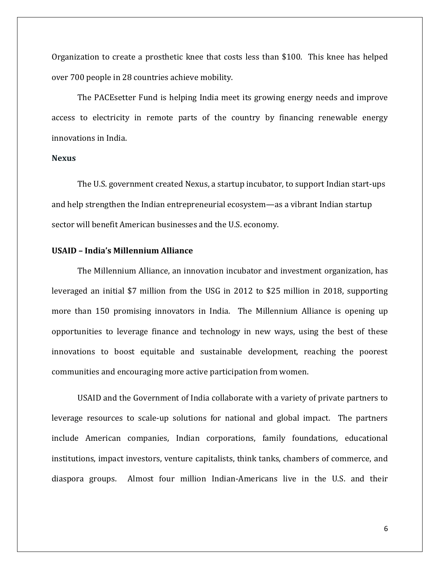Organization to create a prosthetic knee that costs less than \$100. This knee has helped over 700 people in 28 countries achieve mobility.

The PACEsetter Fund is helping India meet its growing energy needs and improve access to electricity in remote parts of the country by financing renewable energy innovations in India.

# **Nexus**

The U.S. government created Nexus, a startup incubator, to support Indian start-ups and help strengthen the Indian entrepreneurial ecosystem—as a vibrant Indian startup sector will benefit American businesses and the U.S. economy.

# **USAID – India's Millennium Alliance**

The Millennium Alliance, an innovation incubator and investment organization, has leveraged an initial \$7 million from the USG in 2012 to \$25 million in 2018, supporting more than 150 promising innovators in India. The Millennium Alliance is opening up opportunities to leverage finance and technology in new ways, using the best of these innovations to boost equitable and sustainable development, reaching the poorest communities and encouraging more active participation from women.

USAID and the Government of India collaborate with a variety of private partners to leverage resources to scale-up solutions for national and global impact. The partners include American companies, Indian corporations, family foundations, educational institutions, impact investors, venture capitalists, think tanks, chambers of commerce, and diaspora groups. Almost four million Indian-Americans live in the U.S. and their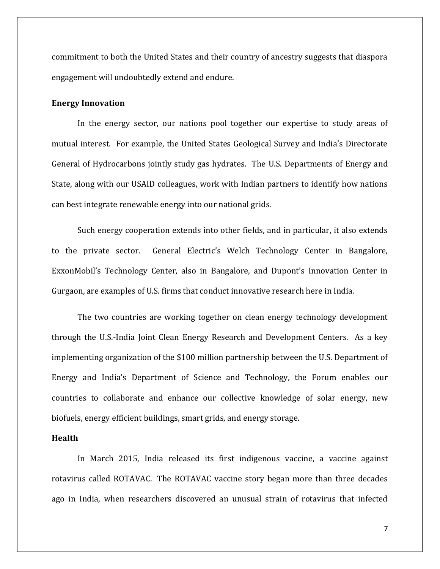commitment to both the United States and their country of ancestry suggests that diaspora engagement will undoubtedly extend and endure.

### **Energy Innovation**

In the energy sector, our nations pool together our expertise to study areas of mutual interest. For example, the United States Geological Survey and India's Directorate General of Hydrocarbons jointly study gas hydrates. The U.S. Departments of Energy and State, along with our USAID colleagues, work with Indian partners to identify how nations can best integrate renewable energy into our national grids.

Such energy cooperation extends into other fields, and in particular, it also extends to the private sector. General Electric's Welch Technology Center in Bangalore, ExxonMobil's Technology Center, also in Bangalore, and Dupont's Innovation Center in Gurgaon, are examples of U.S. firms that conduct innovative research here in India.

The two countries are working together on clean energy technology development through the U.S.-India Joint Clean Energy Research and Development Centers. As a key implementing organization of the \$100 million partnership between the U.S. Department of Energy and India's Department of Science and Technology, the Forum enables our countries to collaborate and enhance our collective knowledge of solar energy, new biofuels, energy efficient buildings, smart grids, and energy storage.

#### **Health**

In March 2015, India released its first indigenous vaccine, a vaccine against rotavirus called ROTAVAC. The ROTAVAC vaccine story began more than three decades ago in India, when researchers discovered an unusual strain of rotavirus that infected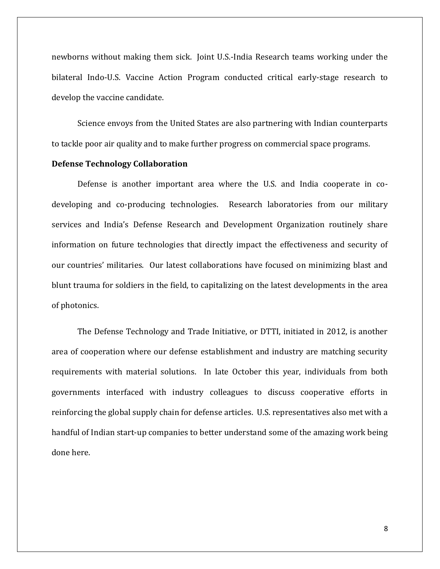newborns without making them sick. Joint U.S.-India Research teams working under the bilateral Indo-U.S. Vaccine Action Program conducted critical early-stage research to develop the vaccine candidate.

Science envoys from the United States are also partnering with Indian counterparts to tackle poor air quality and to make further progress on commercial space programs.

#### **Defense Technology Collaboration**

Defense is another important area where the U.S. and India cooperate in codeveloping and co-producing technologies. Research laboratories from our military services and India's Defense Research and Development Organization routinely share information on future technologies that directly impact the effectiveness and security of our countries' militaries. Our latest collaborations have focused on minimizing blast and blunt trauma for soldiers in the field, to capitalizing on the latest developments in the area of photonics.

The Defense Technology and Trade Initiative, or DTTI, initiated in 2012, is another area of cooperation where our defense establishment and industry are matching security requirements with material solutions. In late October this year, individuals from both governments interfaced with industry colleagues to discuss cooperative efforts in reinforcing the global supply chain for defense articles. U.S. representatives also met with a handful of Indian start-up companies to better understand some of the amazing work being done here.